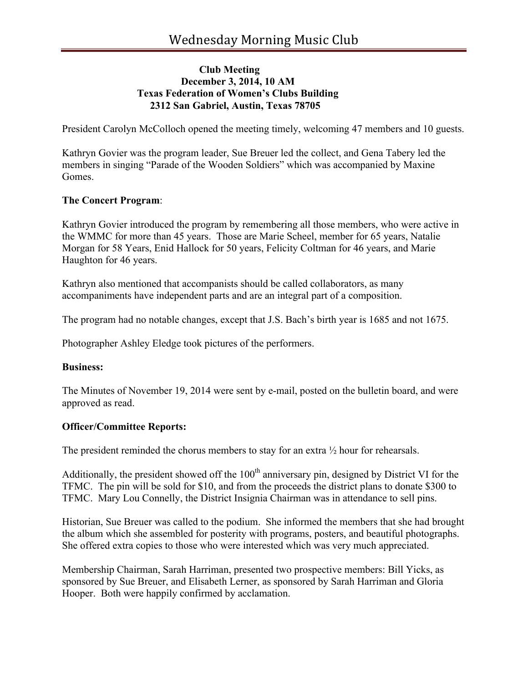## **Club Meeting December 3, 2014, 10 AM Texas Federation of Women's Clubs Building 2312 San Gabriel, Austin, Texas 78705**

President Carolyn McColloch opened the meeting timely, welcoming 47 members and 10 guests.

Kathryn Govier was the program leader, Sue Breuer led the collect, and Gena Tabery led the members in singing "Parade of the Wooden Soldiers" which was accompanied by Maxine Gomes.

## **The Concert Program**:

Kathryn Govier introduced the program by remembering all those members, who were active in the WMMC for more than 45 years. Those are Marie Scheel, member for 65 years, Natalie Morgan for 58 Years, Enid Hallock for 50 years, Felicity Coltman for 46 years, and Marie Haughton for 46 years.

Kathryn also mentioned that accompanists should be called collaborators, as many accompaniments have independent parts and are an integral part of a composition.

The program had no notable changes, except that J.S. Bach's birth year is 1685 and not 1675.

Photographer Ashley Eledge took pictures of the performers.

#### **Business:**

The Minutes of November 19, 2014 were sent by e-mail, posted on the bulletin board, and were approved as read.

# **Officer/Committee Reports:**

The president reminded the chorus members to stay for an extra ½ hour for rehearsals.

Additionally, the president showed off the  $100<sup>th</sup>$  anniversary pin, designed by District VI for the TFMC. The pin will be sold for \$10, and from the proceeds the district plans to donate \$300 to TFMC. Mary Lou Connelly, the District Insignia Chairman was in attendance to sell pins.

Historian, Sue Breuer was called to the podium. She informed the members that she had brought the album which she assembled for posterity with programs, posters, and beautiful photographs. She offered extra copies to those who were interested which was very much appreciated.

Membership Chairman, Sarah Harriman, presented two prospective members: Bill Yicks, as sponsored by Sue Breuer, and Elisabeth Lerner, as sponsored by Sarah Harriman and Gloria Hooper. Both were happily confirmed by acclamation.